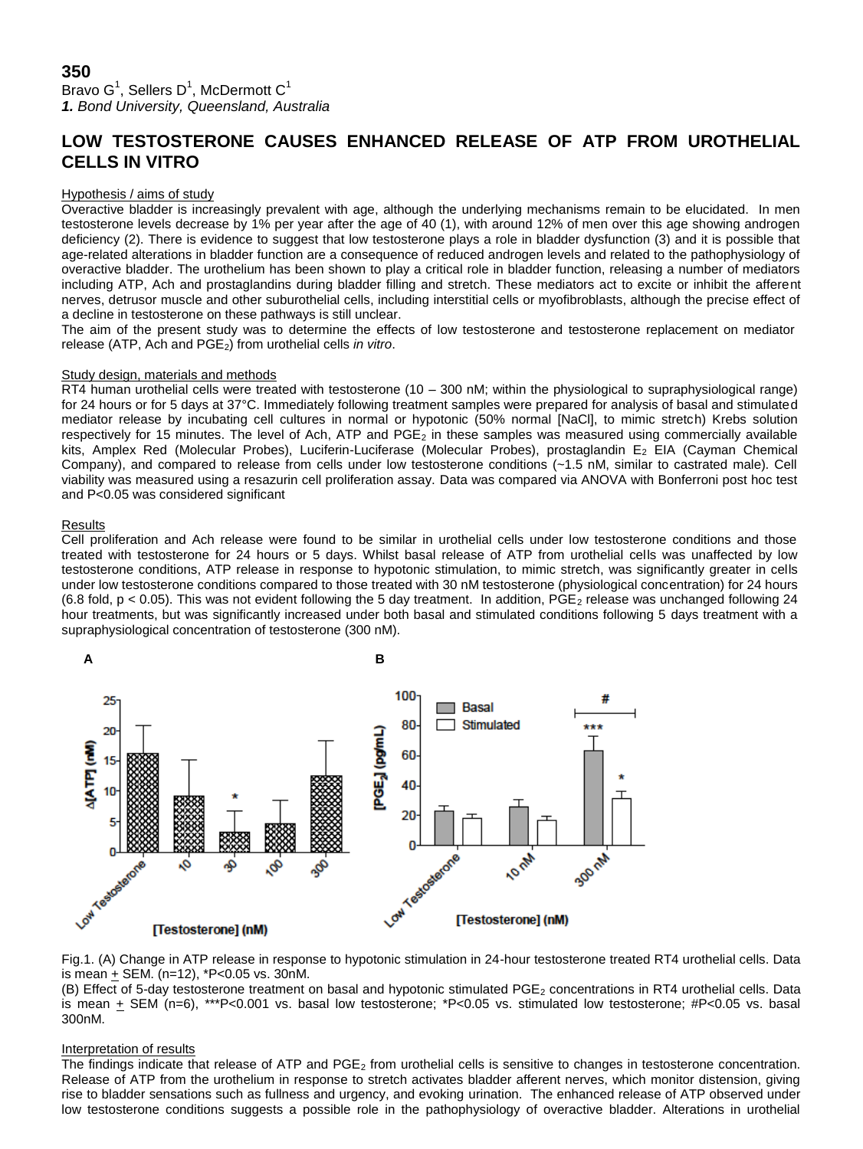Bravo G $^1$ , Sellers D $^1$ , McDermott C $^1$ *1. Bond University, Queensland, Australia*

# **LOW TESTOSTERONE CAUSES ENHANCED RELEASE OF ATP FROM UROTHELIAL CELLS IN VITRO**

## Hypothesis / aims of study

Overactive bladder is increasingly prevalent with age, although the underlying mechanisms remain to be elucidated. In men testosterone levels decrease by 1% per year after the age of 40 (1), with around 12% of men over this age showing androgen deficiency (2). There is evidence to suggest that low testosterone plays a role in bladder dysfunction (3) and it is possible that age-related alterations in bladder function are a consequence of reduced androgen levels and related to the pathophysiology of overactive bladder. The urothelium has been shown to play a critical role in bladder function, releasing a number of mediators including ATP, Ach and prostaglandins during bladder filling and stretch. These mediators act to excite or inhibit the afferent nerves, detrusor muscle and other suburothelial cells, including interstitial cells or myofibroblasts, although the precise effect of a decline in testosterone on these pathways is still unclear.

The aim of the present study was to determine the effects of low testosterone and testosterone replacement on mediator release (ATP, Ach and PGE<sub>2</sub>) from urothelial cells *in vitro*.

## Study design, materials and methods

RT4 human urothelial cells were treated with testosterone (10 – 300 nM; within the physiological to supraphysiological range) for 24 hours or for 5 days at 37°C. Immediately following treatment samples were prepared for analysis of basal and stimulated mediator release by incubating cell cultures in normal or hypotonic (50% normal [NaCl], to mimic stretch) Krebs solution respectively for 15 minutes. The level of Ach, ATP and  $PGE_2$  in these samples was measured using commercially available kits, Amplex Red (Molecular Probes), Luciferin-Luciferase (Molecular Probes), prostaglandin E<sub>2</sub> EIA (Cayman Chemical Company), and compared to release from cells under low testosterone conditions (~1.5 nM, similar to castrated male). Cell viability was measured using a resazurin cell proliferation assay. Data was compared via ANOVA with Bonferroni post hoc test and P<0.05 was considered significant

## **Results**

Cell proliferation and Ach release were found to be similar in urothelial cells under low testosterone conditions and those treated with testosterone for 24 hours or 5 days. Whilst basal release of ATP from urothelial cells was unaffected by low testosterone conditions, ATP release in response to hypotonic stimulation, to mimic stretch, was significantly greater in cells under low testosterone conditions compared to those treated with 30 nM testosterone (physiological concentration) for 24 hours (6.8 fold,  $p < 0.05$ ). This was not evident following the 5 day treatment. In addition,  $\vec{PGE_2}$  release was unchanged following 24 hour treatments, but was significantly increased under both basal and stimulated conditions following 5 days treatment with a supraphysiological concentration of testosterone (300 nM).



Fig.1. (A) Change in ATP release in response to hypotonic stimulation in 24-hour testosterone treated RT4 urothelial cells. Data is mean  $+$  SEM. (n=12),  $*$ P<0.05 vs. 30nM.

(B) Effect of 5-day testosterone treatment on basal and hypotonic stimulated PGE<sub>2</sub> concentrations in RT4 urothelial cells. Data is mean + SEM (n=6), \*\*\*P<0.001 vs. basal low testosterone; \*P<0.05 vs. stimulated low testosterone; #P<0.05 vs. basal 300nM.

## Interpretation of results

The findings indicate that release of ATP and  $PGE_2$  from urothelial cells is sensitive to changes in testosterone concentration. Release of ATP from the urothelium in response to stretch activates bladder afferent nerves, which monitor distension, giving rise to bladder sensations such as fullness and urgency, and evoking urination. The enhanced release of ATP observed under low testosterone conditions suggests a possible role in the pathophysiology of overactive bladder. Alterations in urothelial